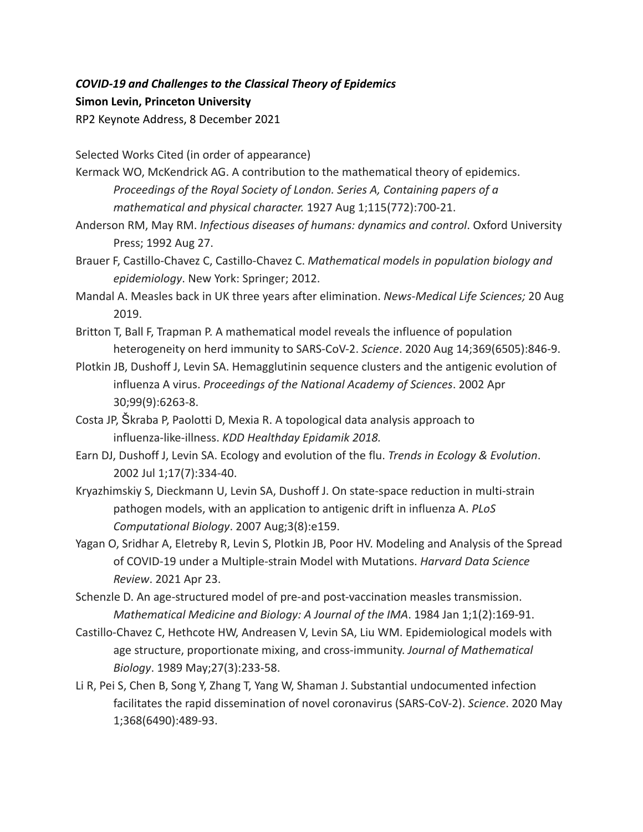## *COVID-19 and Challenges to the Classical Theory of Epidemics* **Simon Levin, Princeton University** RP2 Keynote Address, 8 December 2021

Selected Works Cited (in order of appearance)

Kermack WO, McKendrick AG. A contribution to the mathematical theory of epidemics. *Proceedings of the Royal Society of London. Series A, Containing papers of a mathematical and physical character.* 1927 Aug 1;115(772):700-21.

- Anderson RM, May RM. *Infectious diseases of humans: dynamics and control*. Oxford University Press; 1992 Aug 27.
- Brauer F, Castillo-Chavez C, Castillo-Chavez C. *Mathematical models in population biology and epidemiology*. New York: Springer; 2012.
- Mandal A. Measles back in UK three years after elimination. *News-Medical Life Sciences;* 20 Aug 2019.
- Britton T, Ball F, Trapman P. A mathematical model reveals the influence of population heterogeneity on herd immunity to SARS-CoV-2. *Science*. 2020 Aug 14;369(6505):846-9.
- Plotkin JB, Dushoff J, Levin SA. Hemagglutinin sequence clusters and the antigenic evolution of influenza A virus. *Proceedings of the National Academy of Sciences*. 2002 Apr 30;99(9):6263-8.
- Costa JP, Škraba P, Paolotti D, Mexia R. A topological data analysis approach to influenza-like-illness. *KDD Healthday Epidamik 2018.*
- Earn DJ, Dushoff J, Levin SA. Ecology and evolution of the flu. *Trends in Ecology & Evolution*. 2002 Jul 1;17(7):334-40.
- Kryazhimskiy S, Dieckmann U, Levin SA, Dushoff J. On state-space reduction in multi-strain pathogen models, with an application to antigenic drift in influenza A. *PLoS Computational Biology*. 2007 Aug;3(8):e159.
- Yagan O, Sridhar A, Eletreby R, Levin S, Plotkin JB, Poor HV. Modeling and Analysis of the Spread of COVID-19 under a Multiple-strain Model with Mutations. *Harvard Data Science Review*. 2021 Apr 23.

Schenzle D. An age-structured model of pre-and post-vaccination measles transmission. *Mathematical Medicine and Biology: A Journal of the IMA*. 1984 Jan 1;1(2):169-91.

- Castillo-Chavez C, Hethcote HW, Andreasen V, Levin SA, Liu WM. Epidemiological models with age structure, proportionate mixing, and cross-immunity. *Journal of Mathematical Biology*. 1989 May;27(3):233-58.
- Li R, Pei S, Chen B, Song Y, Zhang T, Yang W, Shaman J. Substantial undocumented infection facilitates the rapid dissemination of novel coronavirus (SARS-CoV-2). *Science*. 2020 May 1;368(6490):489-93.